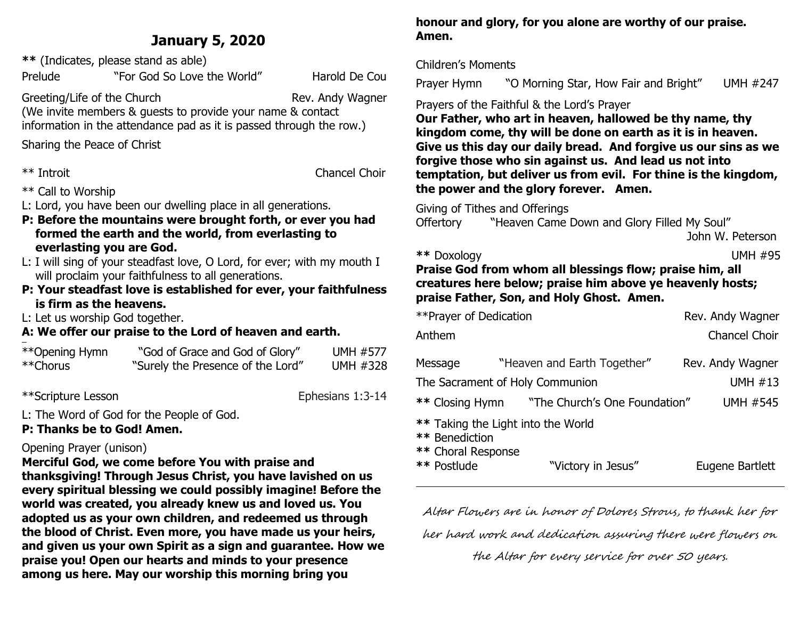# **January 5, 2020**

**\*\*** (Indicates, please stand as able)

Prelude "For God So Love the World" Harold De Cou

Greeting/Life of the Church Rev. Andy Wagner (We invite members & guests to provide your name & contact information in the attendance pad as it is passed through the row.)

Sharing the Peace of Christ

\*\* Introit Chancel Choir

- \*\* Call to Worship
- L: Lord, you have been our dwelling place in all generations.
- **P: Before the mountains were brought forth, or ever you had formed the earth and the world, from everlasting to everlasting you are God.**
- L: I will sing of your steadfast love, O Lord, for ever; with my mouth I will proclaim your faithfulness to all generations.
- **P: Your steadfast love is established for ever, your faithfulness is firm as the heavens.**

L: Let us worship God together.

#### **A: We offer our praise to the Lord of heaven and earth.**  ł

| **Opening Hymn | "God of Grace and God of Glory"   | <b>UMH #577</b> |
|----------------|-----------------------------------|-----------------|
| **Chorus       | "Surely the Presence of the Lord" | UMH #328        |

\*\*Scripture Lesson Ephesians 1:3-14

L: The Word of God for the People of God.

# **P: Thanks be to God! Amen.**

# Opening Prayer (unison)

**Merciful God, we come before You with praise and thanksgiving! Through Jesus Christ, you have lavished on us every spiritual blessing we could possibly imagine! Before the world was created, you already knew us and loved us. You adopted us as your own children, and redeemed us through the blood of Christ. Even more, you have made us your heirs, and given us your own Spirit as a sign and guarantee. How we praise you! Open our hearts and minds to your presence among us here. May our worship this morning bring you** 

**honour and glory, for you alone are worthy of our praise. Amen.**

### Children's Moments

Prayer Hymn"O Morning Star, How Fair and Bright" UMH #247

# Prayers of the Faithful & the Lord's Prayer

**Our Father, who art in heaven, hallowed be thy name, thy kingdom come, thy will be done on earth as it is in heaven. Give us this day our daily bread. And forgive us our sins as we forgive those who sin against us. And lead us not into temptation, but deliver us from evil. For thine is the kingdom, the power and the glory forever. Amen.**

Giving of Tithes and Offerings

Offertory "Heaven Came Down and Glory Filled My Soul"

John W. Peterson

**\*\*** Doxology UMH #95

## **Praise God from whom all blessings flow; praise him, all creatures here below; praise him above ye heavenly hosts; praise Father, Son, and Holy Ghost. Amen.**

| **Prayer of Dedication                              |                                                          | Rev. Andy Wagner     |
|-----------------------------------------------------|----------------------------------------------------------|----------------------|
| Anthem                                              |                                                          | <b>Chancel Choir</b> |
| Message                                             | "Heaven and Earth Together"                              | Rev. Andy Wagner     |
|                                                     | The Sacrament of Holy Communion                          | <b>UMH #13</b>       |
|                                                     | ** Closing Hymn "The Church's One Foundation"            | <b>UMH #545</b>      |
| ** Benediction<br>** Choral Response<br>** Postlude | ** Taking the Light into the World<br>"Victory in Jesus" | Eugene Bartlett      |

Altar Flowers are in honor of Dolores Strous, to thank her for

her hard work and dedication assuring there were flowers on

the Altar for every service for over 50 years.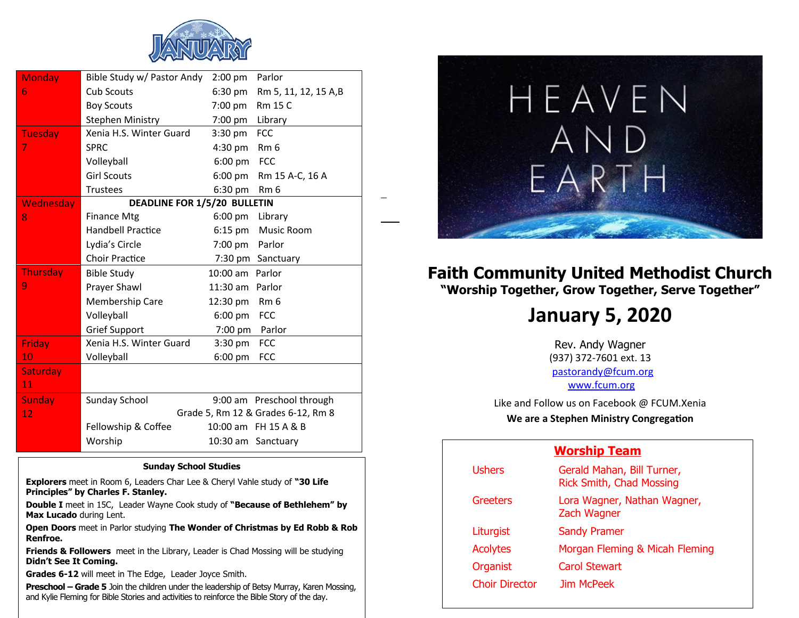

| <b>Monday</b>   | Bible Study w/ Pastor Andy          | $2:00$ pm          | Parlor                             |
|-----------------|-------------------------------------|--------------------|------------------------------------|
| 6               | <b>Cub Scouts</b>                   | 6:30 pm            | Rm 5, 11, 12, 15 A,B               |
|                 | <b>Boy Scouts</b>                   | 7:00 pm            | Rm 15 C                            |
|                 | <b>Stephen Ministry</b>             | 7:00 pm            | Library                            |
| <b>Tuesday</b>  | Xenia H.S. Winter Guard             | 3:30 pm            | <b>FCC</b>                         |
| 7               | <b>SPRC</b>                         | $4:30$ pm          | Rm <sub>6</sub>                    |
|                 | Volleyball                          | $6:00$ pm          | <b>FCC</b>                         |
|                 | <b>Girl Scouts</b>                  | 6:00 pm            | Rm 15 A-C, 16 A                    |
|                 | <b>Trustees</b>                     | 6:30 pm            | Rm <sub>6</sub>                    |
| Wednesday       | <b>DEADLINE FOR 1/5/20 BULLETIN</b> |                    |                                    |
| 8               | <b>Finance Mtg</b>                  | $6:00 \text{ pm}$  | Library                            |
|                 | <b>Handbell Practice</b>            | $6:15$ pm          | Music Room                         |
|                 | Lydia's Circle                      | 7:00 pm            | Parlor                             |
|                 | <b>Choir Practice</b>               | $7:30 \text{ pm}$  | Sanctuary                          |
| Thursday        | <b>Bible Study</b>                  | $10:00$ am         | Parlor                             |
| 9               | Prayer Shawl                        | 11:30 am           | Parlor                             |
|                 | Membership Care                     | 12:30 pm           | Rm <sub>6</sub>                    |
|                 | Volleyball                          | $6:00$ pm          | <b>FCC</b>                         |
|                 | <b>Grief Support</b>                | 7:00 pm            | Parlor                             |
| Friday          | Xenia H.S. Winter Guard             | $3:30$ pm          | <b>FCC</b>                         |
| 10              | Volleyball                          | $6:00$ pm          | <b>FCC</b>                         |
| <b>Saturday</b> |                                     |                    |                                    |
| 11              |                                     |                    |                                    |
| <b>Sunday</b>   | Sunday School                       |                    | 9:00 am Preschool through          |
| 12              |                                     |                    | Grade 5, Rm 12 & Grades 6-12, Rm 8 |
|                 | Fellowship & Coffee                 |                    | 10:00 am FH 15 A & B               |
|                 | Worship                             | 10:30 am Sanctuary |                                    |
|                 |                                     |                    |                                    |

1

#### **Sunday School Studies**

**Explorers** meet in Room 6, Leaders Char Lee & Cheryl Vahle study of **"30 Life Principles" by Charles F. Stanley.** 

**Double I** meet in 15C, Leader Wayne Cook study of **"Because of Bethlehem" by Max Lucado** during Lent.

**Open Doors** meet in Parlor studying **The Wonder of Christmas by Ed Robb & Rob Renfroe.**

**Friends & Followers** meet in the Library, Leader is Chad Mossing will be studying **Didn't See It Coming.**

**Grades 6-12** will meet in The Edge, Leader Joyce Smith.

**Preschool – Grade 5** Join the children under the leadership of Betsy Murray, Karen Mossing, and Kylie Fleming for Bible Stories and activities to reinforce the Bible Story of the day.



# **Faith Community United Methodist Church "Worship Together, Grow Together, Serve Together"**

# **January 5, 2020**

Rev. Andy Wagner (937) 372-7601 ext. 13 [pastorandy@fcum.org](mailto:pastorandy@fcum.org) [www.fcum.org](http://www.fcum.org/)

Like and Follow us on Facebook @ FCUM.Xenia

**We are a Stephen Ministry Congregation**

# **Worship Team**

| <b>Ushers</b>         | Gerald Mahan, Bill Turner,<br><b>Rick Smith, Chad Mossing</b> |
|-----------------------|---------------------------------------------------------------|
| Greeters              | Lora Wagner, Nathan Wagner,<br>Zach Wagner                    |
| Liturgist             | <b>Sandy Pramer</b>                                           |
| <b>Acolytes</b>       | Morgan Fleming & Micah Fleming                                |
| Organist              | <b>Carol Stewart</b>                                          |
| <b>Choir Director</b> | Jim McPeek                                                    |